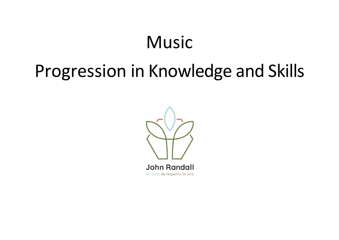# Music

# Progression in Knowledge and Skills

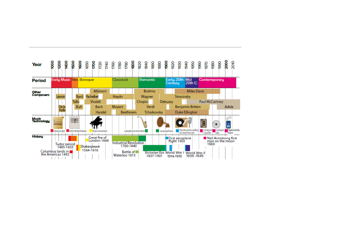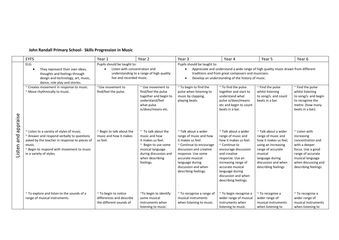|          | <b>EYFS</b>                                                                                 | Year 1                             | Year <sub>2</sub>                            | Year <sub>3</sub>                                                                                                                       | Year 4                                      | Year 5                                      | Year 6                                   |  |
|----------|---------------------------------------------------------------------------------------------|------------------------------------|----------------------------------------------|-----------------------------------------------------------------------------------------------------------------------------------------|---------------------------------------------|---------------------------------------------|------------------------------------------|--|
|          | ELG:                                                                                        | Pupils should be taught to:        |                                              | Pupils should be taught to:                                                                                                             |                                             |                                             |                                          |  |
|          | They represent their own ideas,<br>thoughts and feelings through                            | Listen with concentration and      | understanding to a range of high quality     | Appreciate and understand a wide range of high quality music drawn from different<br>traditions and from great composers and musicians. |                                             |                                             |                                          |  |
|          | design and technology, art, music,                                                          | live and recorded music.           |                                              | Develop an understanding of the history of music.                                                                                       |                                             |                                             |                                          |  |
|          | dance, role play and stories.                                                               |                                    |                                              |                                                                                                                                         |                                             |                                             |                                          |  |
|          | ~ Creates movement in response to music.                                                    | ~Use movement to                   | $\sim$ Use movement to                       | ~ To begin to find the                                                                                                                  | $~\sim$ To find the pulse                   | $\sim$ Find the pulse                       | $\sim$ Find the pulse                    |  |
|          | ~ Move rhythmically to music.                                                               | find/feel the pulse.               | find/feel the pulse<br>together and begin to | pulse when listening to<br>music by clapping,                                                                                           | together and start to<br>understand what    | whilst listening<br>to song/s. and count    | whilst listening<br>to song/s. and begin |  |
|          |                                                                                             |                                    | understand/feel                              | playing beats.                                                                                                                          | pulse is/does/means                         | beats in a bar.                             | to recognise the                         |  |
|          |                                                                                             |                                    | what pulse                                   |                                                                                                                                         | etc and begin to count                      |                                             | metre- (how many                         |  |
|          |                                                                                             |                                    | is/does/means etc.                           |                                                                                                                                         | beats in a bar.                             |                                             | beats in a bar).                         |  |
|          |                                                                                             |                                    |                                              |                                                                                                                                         |                                             |                                             |                                          |  |
| appraise |                                                                                             |                                    |                                              |                                                                                                                                         |                                             |                                             |                                          |  |
|          |                                                                                             |                                    |                                              |                                                                                                                                         |                                             |                                             |                                          |  |
|          | ~ Listen to a variety of styles of music.                                                   | ~ Begin to talk about the          | $\sim$ To talk about the                     | $\sim$ Talk about a wider                                                                                                               | $~\tilde{}$ Talk about a wider              | $\sim$ Talk about a wider                   | $\sim$ Listen with                       |  |
| bue      | ~ Answer and respond verbally to questions<br>asked by the teacher in response to pieces of | music and how it makes<br>us feel. | music and how<br>it makes us feel.           | range of music and how<br>it makes us feel.                                                                                             | range of music and<br>how it makes us feel. | range of music and<br>how it makes us feel, | increasing<br>concentration and          |  |
|          | music.                                                                                      |                                    | ~ Begin to use some                          | ~ Continue to encourage                                                                                                                 | $\sim$ Continue to                          | using an increasing                         | with a deeper                            |  |
| Listen   | ~ Begin to respond with movement to music                                                   |                                    | musical language                             | discussion and creative                                                                                                                 | encourage discussion                        | range of accurate                           | focus. Use a good                        |  |
|          | in a variety of styles.                                                                     |                                    | during discussion and                        | response. Use some                                                                                                                      | and creative                                | musical                                     | range of accurate                        |  |
|          |                                                                                             |                                    | when describing<br>feelings.                 | accurate musical<br>language during                                                                                                     | response. Use an<br>increasing range of     | language during<br>discussion and when      | musical language<br>when discussing and  |  |
|          |                                                                                             |                                    |                                              | discussion and when                                                                                                                     | accurate musical                            | describing feelings                         | describing feelings.                     |  |
|          |                                                                                             |                                    |                                              | describing feelings.                                                                                                                    | language during                             |                                             |                                          |  |
|          |                                                                                             |                                    |                                              |                                                                                                                                         | discussion and when                         |                                             |                                          |  |
|          |                                                                                             |                                    |                                              |                                                                                                                                         | describing feelings.                        |                                             |                                          |  |
|          |                                                                                             |                                    |                                              |                                                                                                                                         |                                             |                                             |                                          |  |
|          | ~ To explore and listen to the sounds of a                                                  | $~\tilde{}$ To begin to notice     | ~To begin to identify                        | $\sim$ To recognise a range of                                                                                                          | ~ To begin recognise a                      | ~ To recognise a                            | $~\sim$ To recognise a                   |  |
|          | range of musical instruments.                                                               | differences and describe           | some musical                                 | musical instruments                                                                                                                     | wider range of musical                      | wider range of                              | wider range of                           |  |
|          |                                                                                             |                                    |                                              |                                                                                                                                         |                                             |                                             |                                          |  |
|          |                                                                                             | the different sounds of            | instruments when<br>listening to music.      | when listening to music.                                                                                                                | instruments when<br>listening to music.     | musical instruments<br>when listening to    | musical instruments<br>when listening to |  |

### **John Randall Primary School- Skills Progression in Music**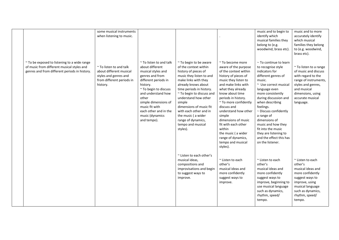|                                                                                                                                             | some musical instruments<br>when listening to music.                                                                           |                                                                                                                                                                                                                                                                                           |                                                                                                                                                                                                                                                                                                                                                                                 |                                                                                                                                                                                                                                                                                                                                                                                                                                  | music and to begin to<br>identify which<br>musical families they<br>belong to (e.g.<br>woodwind, brass etc).                                                                                                                                                                                                                                                                                                  | music and to more<br>accurately identify<br>which musical<br>families they belong<br>to (e.g. woodwind,<br>brass etc).                                                                   |
|---------------------------------------------------------------------------------------------------------------------------------------------|--------------------------------------------------------------------------------------------------------------------------------|-------------------------------------------------------------------------------------------------------------------------------------------------------------------------------------------------------------------------------------------------------------------------------------------|---------------------------------------------------------------------------------------------------------------------------------------------------------------------------------------------------------------------------------------------------------------------------------------------------------------------------------------------------------------------------------|----------------------------------------------------------------------------------------------------------------------------------------------------------------------------------------------------------------------------------------------------------------------------------------------------------------------------------------------------------------------------------------------------------------------------------|---------------------------------------------------------------------------------------------------------------------------------------------------------------------------------------------------------------------------------------------------------------------------------------------------------------------------------------------------------------------------------------------------------------|------------------------------------------------------------------------------------------------------------------------------------------------------------------------------------------|
| ~ To be exposed to listening to a wide range<br>of music from different musical styles and<br>genres and from different periods in history. | $~\tilde{}$ To listen to and talk<br>about different musical<br>styles and genres and<br>from different periods in<br>history. | $\sim$ To listen to and talk<br>about different<br>musical styles and<br>genres and from<br>different periods in<br>history.<br>~ To begin to discuss<br>and understand how<br>other<br>simple dimensions of<br>music fit with<br>each other and in the<br>music (dynamics<br>and tempo). | ~ To begin to be aware<br>of the context within<br>history of pieces of<br>music they listen to and<br>make links with they<br>already knows about<br>time periods in history.<br>~ To begin to discuss and<br>understand how other<br>simple<br>dimensions of music fit<br>with each other and in<br>the music (a wider<br>range of dynamics,<br>tempo and musical<br>styles). | $~\tilde{}$ To become more<br>aware of the purpose<br>of the context within<br>history of pieces of<br>music they listen to<br>and make links with<br>what they already<br>know about time<br>periods in history.<br>~ To more confidently<br>discuss and<br>understand how other<br>simple<br>dimensions of music<br>fit with each other<br>within<br>the music (a wider<br>range of dynamics,<br>tempo and musical<br>styles). | $\sim$ To continue to learn<br>to recognise style<br>indicators for<br>different genres of<br>music.<br>~ Use correct musical<br>language even<br>more consistently<br>during discussion and<br>when describing<br>feelings.<br>$\sim$ Discuss confidently<br>a range of<br>dimensions of<br>music and how they<br>fit into the music<br>they are listening to<br>and the effect this has<br>on the listener. | ~ To listen to a range<br>of music and discuss<br>with regard to the<br>range of instruments,<br>styles and genres,<br>and musical<br>dimensions, using<br>accurate musical<br>language. |
|                                                                                                                                             |                                                                                                                                |                                                                                                                                                                                                                                                                                           | ~ Listen to each other's<br>musical ideas,<br>compositions and<br>improvisations and begin<br>to suggest ways to<br>improve.                                                                                                                                                                                                                                                    | ~ Listen to each<br>other's<br>musical ideas and<br>more confidently<br>suggest ways to<br>improve.                                                                                                                                                                                                                                                                                                                              | ~ Listen to each<br>other's<br>musical ideas and<br>more confidently<br>suggest ways to<br>improve, beginning to<br>use musical language<br>such as dynamics,<br>rhythm, speed/<br>tempo.                                                                                                                                                                                                                     | ~ Listen to each<br>other's<br>musical ideas and<br>more confidently<br>suggest ways to<br>improve, using<br>musical language<br>such as dynamics,<br>rhythm, speed/<br>tempo.           |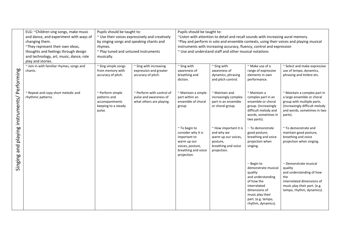|                                 | ELG: ~Children sing songs, make music     | Pupils should be taught to:              |                                                    | Pupils should be taught to:                                                      |                                                                       |                                          |                                                                                         |  |  |
|---------------------------------|-------------------------------------------|------------------------------------------|----------------------------------------------------|----------------------------------------------------------------------------------|-----------------------------------------------------------------------|------------------------------------------|-----------------------------------------------------------------------------------------|--|--|
|                                 | and dance, and experiment with ways of    |                                          | ~ Use their voices expressively and creatively     | ~Listen with attention to detail and recall sounds with increasing aural memory. |                                                                       |                                          |                                                                                         |  |  |
|                                 | changing them.                            | by singing songs and speaking chants and |                                                    |                                                                                  |                                                                       |                                          | ~Play and perform in solo and ensemble contexts, using their voices and playing musical |  |  |
|                                 | ~They represent their own ideas,          | rhymes.                                  |                                                    |                                                                                  | instruments with increasing accuracy, fluency, control and expression |                                          |                                                                                         |  |  |
|                                 | thoughts and feelings through design      | ~ Play tuned and untuned instruments     |                                                    |                                                                                  | ~ Use and understand staff and other musical notations                |                                          |                                                                                         |  |  |
|                                 | and technology, art, music, dance, role   | musically.                               |                                                    |                                                                                  |                                                                       |                                          |                                                                                         |  |  |
|                                 | play and stories.                         |                                          |                                                    |                                                                                  |                                                                       |                                          |                                                                                         |  |  |
|                                 | ~ Join in with familiar rhymes, songs and | ~ Sing simple songs                      | $\sim$ Sing with increasing                        | $\sim$ Sing with                                                                 | $\sim$ Sing with                                                      | ~ Make use of a                          | ~ Select and make expressive                                                            |  |  |
|                                 | chants.                                   | from memory with                         | expression and greater                             | awareness of                                                                     | awareness of                                                          | range of expressive                      | use of tempo, dynamics,                                                                 |  |  |
|                                 |                                           | accuracy of pitch.                       | accuracy of pitch.                                 | breathing and                                                                    | dynamics, phrasing                                                    | elements in own                          | phrasing and timbre etc.                                                                |  |  |
|                                 |                                           |                                          |                                                    | diction.                                                                         | and pitch control.                                                    | performance.                             |                                                                                         |  |  |
|                                 |                                           |                                          |                                                    |                                                                                  |                                                                       |                                          |                                                                                         |  |  |
|                                 |                                           |                                          |                                                    |                                                                                  |                                                                       |                                          |                                                                                         |  |  |
|                                 | ~ Repeat and copy short melodic and       | $\sim$ Perform simple                    | ~ Perform with control of                          | ~ Maintain a simple                                                              | $\sim$ Maintain and                                                   | ~ Maintain a                             | ~ Maintain a complex part in                                                            |  |  |
|                                 | rhythmic patterns.                        | patterns and<br>accompaniments           | pulse and awareness of<br>what others are playing. | part within an<br>ensemble of choral                                             | increasingly complex<br>part in an ensemble                           | complex part in an<br>ensemble or choral | a large ensemble or choral<br>group with multiple parts.                                |  |  |
|                                 |                                           | keeping to a steady                      |                                                    | group                                                                            | or choral group.                                                      | group. (increasingly                     | (increasingly difficult melody                                                          |  |  |
|                                 |                                           | pulse.                                   |                                                    |                                                                                  |                                                                       | difficult melody and                     | and words, sometimes in two                                                             |  |  |
|                                 |                                           |                                          |                                                    |                                                                                  |                                                                       | words, sometimes in                      | parts).                                                                                 |  |  |
|                                 |                                           |                                          |                                                    |                                                                                  |                                                                       | two parts).                              |                                                                                         |  |  |
| playing instruments/ Performing |                                           |                                          |                                                    |                                                                                  |                                                                       |                                          |                                                                                         |  |  |
|                                 |                                           |                                          |                                                    | ~ To begin to                                                                    | ~ How important it is                                                 | $\sim$ To demonstrate                    | $~\sim$ To demonstrate and                                                              |  |  |
|                                 |                                           |                                          |                                                    | consider why it is                                                               | and why we                                                            | good posture,                            | maintain good posture,                                                                  |  |  |
|                                 |                                           |                                          |                                                    | important to                                                                     | warm up our voices,                                                   | breathing and voice<br>projection when   | breathing and voice<br>projection when singing.                                         |  |  |
|                                 |                                           |                                          |                                                    | warm up our<br>voices, posture,                                                  | posture,<br>breathing and voice                                       | singing.                                 |                                                                                         |  |  |
| bue                             |                                           |                                          |                                                    | breathing and voice                                                              | projection.                                                           |                                          |                                                                                         |  |  |
|                                 |                                           |                                          |                                                    | projection.                                                                      |                                                                       |                                          |                                                                                         |  |  |
|                                 |                                           |                                          |                                                    |                                                                                  |                                                                       |                                          |                                                                                         |  |  |
| Singing                         |                                           |                                          |                                                    |                                                                                  |                                                                       | $\sim$ Begin to                          | $\sim$ Demonstrate musical                                                              |  |  |
|                                 |                                           |                                          |                                                    |                                                                                  |                                                                       | demonstrate musical                      | quality                                                                                 |  |  |
|                                 |                                           |                                          |                                                    |                                                                                  |                                                                       | quality                                  | and understanding of how                                                                |  |  |
|                                 |                                           |                                          |                                                    |                                                                                  |                                                                       | and understanding                        | the                                                                                     |  |  |
|                                 |                                           |                                          |                                                    |                                                                                  |                                                                       | of how the                               | interrelated dimensions of                                                              |  |  |
|                                 |                                           |                                          |                                                    |                                                                                  |                                                                       | interrelated<br>dimensions of            | music play their part. (e.g.<br>tempo, rhythm, dynamics).                               |  |  |
|                                 |                                           |                                          |                                                    |                                                                                  |                                                                       | music play their                         |                                                                                         |  |  |
|                                 |                                           |                                          |                                                    |                                                                                  |                                                                       | part. (e.g. tempo,                       |                                                                                         |  |  |
|                                 |                                           |                                          |                                                    |                                                                                  |                                                                       | rhythm, dynamics).                       |                                                                                         |  |  |
|                                 |                                           |                                          |                                                    |                                                                                  |                                                                       |                                          |                                                                                         |  |  |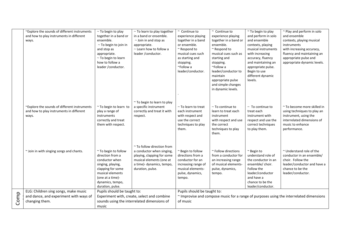|      | ~Explore the sounds of different instruments | $\sim$ To begin to play                     | $\sim$ To learn to play together            | $~\sim$ Continue to         | $~\sim$ Continue to   | ~ To begin to play    | ~ Play and perform in solo                                                              |
|------|----------------------------------------------|---------------------------------------------|---------------------------------------------|-----------------------------|-----------------------|-----------------------|-----------------------------------------------------------------------------------------|
|      | and how to play instruments in different     | together in a band or                       | in a band or ensemble.                      | experience playing          | experience playing    | and perform in solo   | and ensemble                                                                            |
|      | ways.                                        | ensemble.                                   | $\sim$ Join in and stop as                  | together in a band          | together in a band or | and ensemble          | contexts, playing musical                                                               |
|      |                                              | $\sim$ To begin to join in                  | appropriate.                                | or ensemble.                | ensemble.             | contexts, playing     | instruments                                                                             |
|      |                                              | and stop as                                 | $\sim$ Learn how to follow a                | $~\sim$ Respond to          | ~ Respond to          | musical instruments   | with increasing accuracy,                                                               |
|      |                                              | appropriate.                                | leader / conductor.                         | musical cues such           | musical cues such as  | with increasing       | fluency and maintaining an                                                              |
|      |                                              | $\sim$ To begin to learn                    |                                             | as starting and             | starting and          | accuracy, fluency     | appropriate pulse and                                                                   |
|      |                                              | how to follow a                             |                                             | stopping.                   | stopping.             | and maintaining an    | appropriate dynamic levels.                                                             |
|      |                                              | leader / conductor.                         |                                             | ~Follow a                   | ~Follow a             | appropriate pulse.    |                                                                                         |
|      |                                              |                                             |                                             | leader/conductor.           | leader/conductor to   | Begin to use          |                                                                                         |
|      |                                              |                                             |                                             |                             | maintain              | different dynamic     |                                                                                         |
|      |                                              |                                             |                                             |                             | appropriate pulse     | levels.               |                                                                                         |
|      |                                              |                                             |                                             |                             | and simple changes    |                       |                                                                                         |
|      |                                              |                                             |                                             |                             | in dynamic levels.    |                       |                                                                                         |
|      |                                              |                                             |                                             |                             |                       |                       |                                                                                         |
|      |                                              |                                             | ~ To begin to learn to play                 |                             |                       |                       |                                                                                         |
|      | ~Explore the sounds of different instruments | ~ To begin to learn to                      | a specific instrument                       | $\sim$ To learn to treat    | $\sim$ To continue to | $\sim$ To continue to | ~ To become more skilled in                                                             |
|      | and how to play instruments in different     | play a range of                             | correctly and treat it with                 | each instrument             | learn to treat each   | treat each            | using techniques to play an                                                             |
|      | ways.                                        | instruments                                 | respect.                                    | with respect and            | instrument            | instrument with       | instrument, using the                                                                   |
|      |                                              | correctly and treat                         |                                             | use the correct             | with respect and use  | respect and use the   | interrelated dimensions of                                                              |
|      |                                              | them with respect.                          |                                             | techniques to play          | the correct           | correct techniques    | music to enhance                                                                        |
|      |                                              |                                             |                                             | them.                       | techniques to play    | to play them.         | performance.                                                                            |
|      |                                              |                                             |                                             |                             | them.                 |                       |                                                                                         |
|      |                                              |                                             |                                             |                             |                       |                       |                                                                                         |
|      |                                              |                                             | ~ To follow direction from                  |                             |                       |                       |                                                                                         |
|      | ~ Join in with singing songs and chants.     | ~ To begin to follow                        | a conductor when singing,                   | ~ Begin to follow           | ~ Follow directions   | ~ Begin to            | $\sim$ Understand role of the                                                           |
|      |                                              | direction from a                            | playing, clapping for some                  | directions from a           | from a conductor for  | understand role of    | conductor in an ensemble/                                                               |
|      |                                              | conductor when                              | musical elements (one at                    | conductor for an            | an increasing range   | the conductor in an   | choir. Follow the                                                                       |
|      |                                              | singing, playing,                           | a time)- dynamics, tempo,                   | increasing range of         | of musical elements-  | ensemble/ choir.      | leader/conductor and have a                                                             |
|      |                                              | clapping for some                           | duration, pulse.                            | musical elements-           | pulse, dynamics,      | Follow the            | chance to be the                                                                        |
|      |                                              | musical elements                            |                                             | pulse, dynamics,            | tempo.                | leader/conductor      | leader/conductor.                                                                       |
|      |                                              | (one at a time)-                            |                                             | tempo.                      |                       | and have a            |                                                                                         |
|      |                                              | dynamics, tempo,                            |                                             |                             |                       | chance to be the      |                                                                                         |
|      |                                              | duration, pulse.                            |                                             |                             |                       | leader/conductor.     |                                                                                         |
|      | ELG: Children sing songs, make music         | Pupils should be taught to:                 |                                             | Pupils should be taught to: |                       |                       |                                                                                         |
| Comp | and dance, and experiment with ways of       |                                             | Experiment with, create, select and combine |                             |                       |                       | ~ Improvise and compose music for a range of purposes using the interrelated dimensions |
|      | changing them.                               | sounds using the interrelated dimensions of |                                             | of music                    |                       |                       |                                                                                         |
|      |                                              | music                                       |                                             |                             |                       |                       |                                                                                         |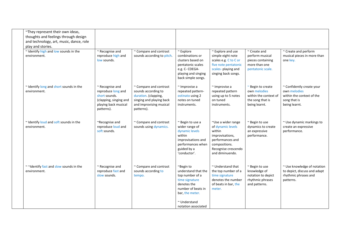| ~They represent their own ideas,<br>thoughts and feelings through design<br>and technology, art, music, dance, role<br>play and stories. |                                                                                                                        |                                                                                                                                            |                                                                                                                                                                           |                                                                                                                                                     |                                                                                                 |                                                                                                         |
|------------------------------------------------------------------------------------------------------------------------------------------|------------------------------------------------------------------------------------------------------------------------|--------------------------------------------------------------------------------------------------------------------------------------------|---------------------------------------------------------------------------------------------------------------------------------------------------------------------------|-----------------------------------------------------------------------------------------------------------------------------------------------------|-------------------------------------------------------------------------------------------------|---------------------------------------------------------------------------------------------------------|
| ~ Identify high and low sounds in the<br>environment.                                                                                    | ~ Recognise and<br>reproduce high and<br>low sounds.                                                                   | ~ Compare and contrast<br>sounds according to pitch.                                                                                       | $~\sim$ Explore<br>combinations or<br>clusters based on<br>pentatonic scales<br>e.g. C- CDEGA-<br>playing and singing<br>back simple songs.                               | ~ Explore and use<br>simple eight note<br>scales e.g. C to C or<br>five note pentatonic<br>scales- playing and<br>singing back songs.               | $\sim$ Create and<br>perform musical<br>pieces containing<br>more than one<br>pentatonic scale. | ~ Create and perform<br>musical pieces in more than<br>one key.                                         |
| ~ Identify long and short sounds in the<br>environment.                                                                                  | ~ Recognise and<br>reproduce long and<br>short sounds.<br>(clapping, singing and<br>playing back musical<br>patterns). | ~ Compare and contrast<br>sounds according to<br>duration. (clapping,<br>singing and playing back<br>and improvising musical<br>patterns). | $\sim$ Improvise a<br>repeated pattern-<br>ostinato using 2<br>notes on tuned<br>instruments.                                                                             | $~\sim$ Improvise a<br>repeated pattern<br>using up to 5 notes<br>on tuned<br>instruments.                                                          | ~ Begin to create<br>own melodies<br>within the context of<br>the song that is<br>being learnt. | ~ Confidently create your<br>own melodies<br>within the context of the<br>song that is<br>being learnt. |
| ~ Identify loud and soft sounds in the<br>environment.                                                                                   | ~Recognise and<br>reproduce loud and<br>soft sounds.                                                                   | ~ Compare and contrast<br>sounds using dynamics.                                                                                           | ~ Begin to use a<br>wider range of<br>dynamic levels<br>within<br>improvisations and<br>performances when<br>guided by a<br>'conductor'.                                  | ~Use a wider range<br>of dynamic levels<br>within<br>improvisations,<br>performances and<br>compositions.<br>Recognise crescendo<br>and diminuendo. | ~ Begin to use<br>dynamics to create<br>an expressive<br>performance.                           | ~ Use dynamic markings to<br>create an expressive<br>performance.                                       |
| ~~Identify fast and slow sounds in the<br>environment.                                                                                   | ~ Recognise and<br>reproduce fast and<br>slow sounds.                                                                  | ~ Compare and contrast<br>sounds according to<br>tempo.                                                                                    | ~Begin to<br>understand that the<br>top number of a<br>time signature<br>denotes the<br>number of beats in<br>bar, the meter.<br>$\sim$ Understand<br>notation associated | $\sim$ Understand that<br>the top number of a<br>time signature<br>denotes the number<br>of beats in bar, the<br>meter.                             | ~ Begin to use<br>knowledge of<br>notation to depict<br>rhythmic phrases<br>and patterns.       | ~ Use knowledge of notation<br>to depict, discuss and adapt<br>rhythmic phrases and<br>patterns.        |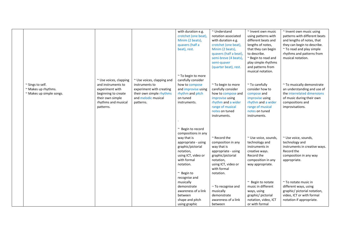|                                                                     |                                                                                                                                                |                                                                                                                                          | with duration e.g.<br>crotchet (one beat),<br>Minim (2 beats),<br>quavers (half a<br>beat), rest.                                                                                                                           | $~\sim$ Understand<br>notation associated<br>with duration e.g.<br>crotchet (one beat),<br>Minim (2 beats),<br>quavers (half a beat),<br>semi-breve (4 beats),<br>semi-quaver          | ~ Invent own music<br>using patterns with<br>different beats and<br>lengths of notes,<br>that they can begin<br>to describe.<br>~ Begin to read and<br>play simple rhythms                      | ~ Invent own music using<br>patterns with different beats<br>and lengths of notes, that<br>they can begin to describe.<br>~ To read and play simple<br>rhythms and patterns from<br>musical notation. |
|---------------------------------------------------------------------|------------------------------------------------------------------------------------------------------------------------------------------------|------------------------------------------------------------------------------------------------------------------------------------------|-----------------------------------------------------------------------------------------------------------------------------------------------------------------------------------------------------------------------------|----------------------------------------------------------------------------------------------------------------------------------------------------------------------------------------|-------------------------------------------------------------------------------------------------------------------------------------------------------------------------------------------------|-------------------------------------------------------------------------------------------------------------------------------------------------------------------------------------------------------|
| ~ Sings to self.<br>~ Makes up rhythms.<br>~ Makes up simple songs. | ~ Use voices, clapping<br>and instruments to<br>experiment with<br>beginning to create<br>their own simple<br>rhythms and musical<br>patterns. | ~ Use voices, clapping and<br>instruments to<br>experiment with creating<br>their own simple rhythms<br>and melodic musical<br>patterns. | ~ To begin to more<br>carefully consider<br>how to compose<br>and improvise using<br>rhythm and pitch<br>on tuned<br>instruments.                                                                                           | (quarter beat), rest.<br>~ To begin to more<br>carefully consider<br>how to compose and<br>improvise using<br>rhythm and a wider<br>range of musical<br>notes on tuned<br>instruments. | and patterns from<br>musical notation.<br>$~\sim$ To carefully<br>consider how to<br>compose and<br>improvise using<br>rhythm and a wider<br>range of musical<br>notes on tuned<br>instruments. | ~ To musically demonstrate<br>an understanding and use of<br>the interrelated dimensions<br>of music during their own<br>compositions and<br>improvisations.                                          |
|                                                                     |                                                                                                                                                |                                                                                                                                          | $~\sim$ Begin to record<br>compositions in any<br>way that is<br>appropriate - using<br>graphic/pictorial<br>notation,<br>using ICT, video or<br>with formal<br>notation.<br>$~\sim$ Begin to<br>recognise and<br>musically | $\sim$ Record the<br>composition in any<br>way that is<br>appropriate - using<br>graphic/pictorial<br>notation,<br>using ICT, video or<br>with formal<br>notation.                     | ~ Use voice, sounds,<br>technology and<br>instruments in<br>creative ways.<br>Record the<br>composition in any<br>way appropriate.<br>$~\sim$ Begin to notate                                   | ~ Use voice, sounds,<br>technology and<br>instruments in creative ways.<br>Record the<br>composition in any way<br>appropriate.<br>$~\tilde{}$ To notate music in                                     |
|                                                                     |                                                                                                                                                |                                                                                                                                          | demonstrate<br>awareness of a link<br>between<br>shape and pitch<br>using graphic                                                                                                                                           | $\sim$ To recognise and<br>musically<br>demonstrate<br>awareness of a link<br>between                                                                                                  | music in different<br>ways, using<br>graphic/ pictorial<br>notation, video, ICT<br>or with formal                                                                                               | different ways, using<br>graphic/ pictorial notation,<br>video, ICT or with formal<br>notation if appropriate.                                                                                        |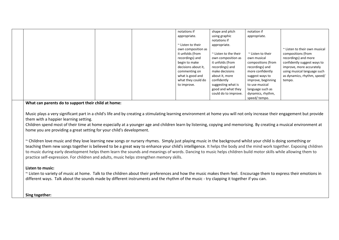|                                                                             |                                                                                                                                                                                                                                                                                                                                                                                                                                                                                                                                                                                                                                                                                                                                                                                                                                                                                                                                                                                                                                                                                                                                                                                                                                                                                                                                                                                                      | appropriate.<br>$\sim$ Listen to their<br>own composition as<br>it unfolds (from<br>recordings) and<br>begin to make<br>decisions about it,<br>commenting on<br>what is good and<br>what they could do<br>to improve. | shape and pitch<br>using graphic<br>notations if<br>appropriate.<br>~ Listen to the their<br>own composition as<br>it unfolds (from<br>recordings) and<br>make decisions<br>about it, more<br>confidently<br>suggesting what is<br>good and what they<br>could do to improve. | appropriate.<br>$\sim$ Listen to their<br>own musical<br>compositions (from<br>recordings) and<br>more confidently<br>suggest ways to<br>improve, beginning<br>to use musical<br>language such as<br>dynamics, rhythm,<br>speed/tempo. | ~ Listen to their own musical<br>compositions (from<br>recordings) and more<br>confidently suggest ways to<br>improve, more accurately<br>using musical language such<br>as dynamics, rhythm, speed/<br>tempo. |  |  |  |
|-----------------------------------------------------------------------------|------------------------------------------------------------------------------------------------------------------------------------------------------------------------------------------------------------------------------------------------------------------------------------------------------------------------------------------------------------------------------------------------------------------------------------------------------------------------------------------------------------------------------------------------------------------------------------------------------------------------------------------------------------------------------------------------------------------------------------------------------------------------------------------------------------------------------------------------------------------------------------------------------------------------------------------------------------------------------------------------------------------------------------------------------------------------------------------------------------------------------------------------------------------------------------------------------------------------------------------------------------------------------------------------------------------------------------------------------------------------------------------------------|-----------------------------------------------------------------------------------------------------------------------------------------------------------------------------------------------------------------------|-------------------------------------------------------------------------------------------------------------------------------------------------------------------------------------------------------------------------------------------------------------------------------|----------------------------------------------------------------------------------------------------------------------------------------------------------------------------------------------------------------------------------------|----------------------------------------------------------------------------------------------------------------------------------------------------------------------------------------------------------------|--|--|--|
| them with a happier learning setting.<br>Listen to music:<br>Sing together: | What can parents do to support their child at home:<br>Music plays a very significant part in a child's life and by creating a stimulating learning environment at home you will not only increase their engagement but provide<br>Children spend most of their time at home especially at a younger age and children learn by listening, copying and memorising. By creating a musical environment at<br>home you are providing a great setting for your child's development.<br>~ Children love music and they love learning new songs or nursery rhymes. Simply just playing music in the background whilst your child is doing something or<br>teaching them new songs together is believed to be a great way to enhance your child's intelligence. It helps the body and the mind work together. Exposing children<br>to music during early development helps them learn the sounds and meanings of words. Dancing to music helps children build motor skills while allowing them to<br>practice self-expression. For children and adults, music helps strengthen memory skills.<br>~ Listen to variety of music at home. Talk to the children about their preferences and how the music makes them feel. Encourage them to express their emotions in<br>different ways. Talk about the sounds made by different instruments and the rhythm of the music - try clapping it together if you can. |                                                                                                                                                                                                                       |                                                                                                                                                                                                                                                                               |                                                                                                                                                                                                                                        |                                                                                                                                                                                                                |  |  |  |